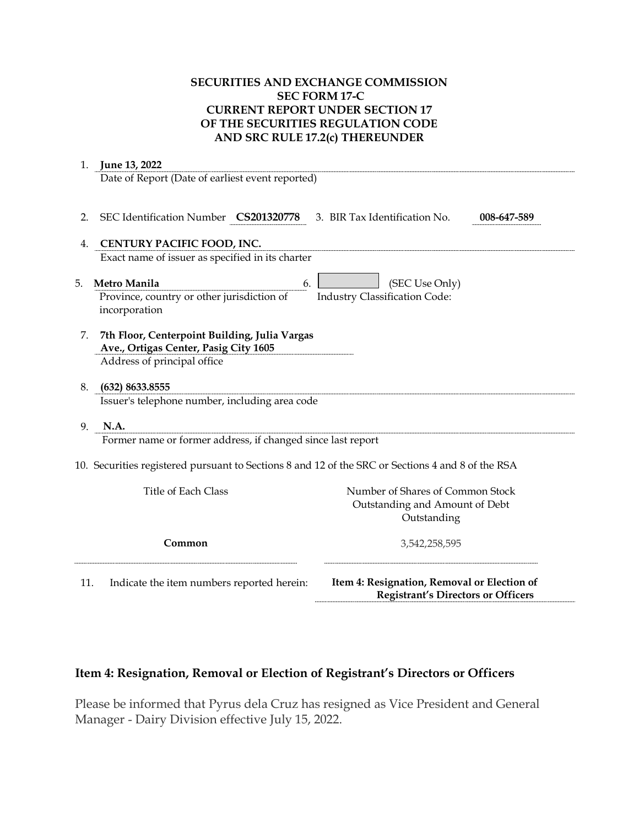## **SECURITIES AND EXCHANGE COMMISSION SEC FORM 17-C CURRENT REPORT UNDER SECTION 17 OF THE SECURITIES REGULATION CODE AND SRC RULE 17.2(c) THEREUNDER**

| 1. | June 13, 2022                                                                                     |                                      |             |
|----|---------------------------------------------------------------------------------------------------|--------------------------------------|-------------|
|    | Date of Report (Date of earliest event reported)                                                  |                                      |             |
| 2. | SEC Identification Number CS201320778                                                             | 3. BIR Tax Identification No.        | 008-647-589 |
| 4. | CENTURY PACIFIC FOOD, INC.                                                                        |                                      |             |
|    | Exact name of issuer as specified in its charter                                                  |                                      |             |
| 5. | Metro Manila<br>6.                                                                                | (SEC Use Only)                       |             |
|    | Province, country or other jurisdiction of                                                        | <b>Industry Classification Code:</b> |             |
|    | incorporation                                                                                     |                                      |             |
| 7. | 7th Floor, Centerpoint Building, Julia Vargas                                                     |                                      |             |
|    | Ave., Ortigas Center, Pasig City 1605                                                             |                                      |             |
|    | Address of principal office                                                                       |                                      |             |
| 8. | (632) 8633.8555                                                                                   |                                      |             |
|    | Issuer's telephone number, including area code                                                    |                                      |             |
| 9. | N.A.                                                                                              |                                      |             |
|    | Former name or former address, if changed since last report                                       |                                      |             |
|    | 10. Securities registered pursuant to Sections 8 and 12 of the SRC or Sections 4 and 8 of the RSA |                                      |             |
|    | <b>Title of Each Class</b>                                                                        | Number of Shares of Common Stock     |             |
|    |                                                                                                   | Outstanding and Amount of Debt       |             |
|    |                                                                                                   | Outstanding                          |             |
|    | Common                                                                                            | 3,542,258,595                        |             |

## **Item 4: Resignation, Removal or Election of Registrant's Directors or Officers**

Please be informed that Pyrus dela Cruz has resigned as Vice President and General Manager - Dairy Division effective July 15, 2022.

**Registrant's Directors or Officers**